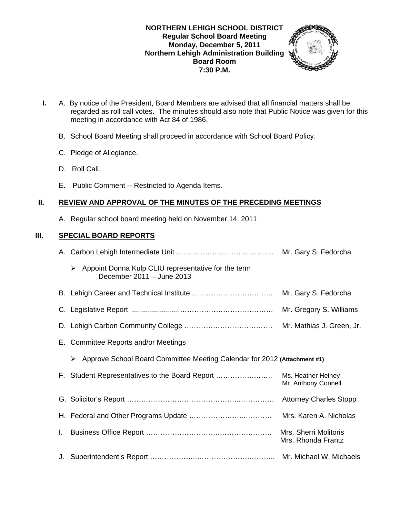#### **NORTHERN LEHIGH SCHOOL DISTRICT Regular School Board Meeting Monday, December 5, 2011 Northern Lehigh Administration Building Board Room 7:30 P.M.**



- **I.** A. By notice of the President, Board Members are advised that all financial matters shall be regarded as roll call votes. The minutes should also note that Public Notice was given for this meeting in accordance with Act 84 of 1986.
	- B. School Board Meeting shall proceed in accordance with School Board Policy.
	- C. Pledge of Allegiance.
	- D. Roll Call.
	- E. Public Comment -- Restricted to Agenda Items.

# **II. REVIEW AND APPROVAL OF THE MINUTES OF THE PRECEDING MEETINGS**

A. Regular school board meeting held on November 14, 2011

# **III. SPECIAL BOARD REPORTS**

|    | $\triangleright$ Appoint Donna Kulp CLIU representative for the term<br>December 2011 - June 2013 |                                                    |
|----|---------------------------------------------------------------------------------------------------|----------------------------------------------------|
|    |                                                                                                   | Mr. Gary S. Fedorcha                               |
|    |                                                                                                   | Mr. Gregory S. Williams                            |
|    |                                                                                                   |                                                    |
|    | E. Committee Reports and/or Meetings                                                              |                                                    |
|    | Approve School Board Committee Meeting Calendar for 2012 (Attachment #1)<br>➤                     |                                                    |
|    | F. Student Representatives to the Board Report                                                    | Ms. Heather Heiney<br>Mr. Anthony Connell          |
|    |                                                                                                   |                                                    |
|    |                                                                                                   | Mrs. Karen A. Nicholas                             |
| L. |                                                                                                   | <b>Mrs. Sherri Molitoris</b><br>Mrs. Rhonda Frantz |
|    |                                                                                                   |                                                    |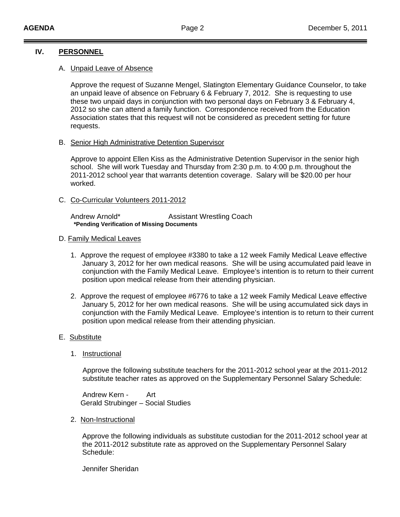## **IV. PERSONNEL**

#### A. Unpaid Leave of Absence

Approve the request of Suzanne Mengel, Slatington Elementary Guidance Counselor, to take an unpaid leave of absence on February 6 & February 7, 2012. She is requesting to use these two unpaid days in conjunction with two personal days on February 3 & February 4, 2012 so she can attend a family function. Correspondence received from the Education Association states that this request will not be considered as precedent setting for future requests.

B. Senior High Administrative Detention Supervisor

 Approve to appoint Ellen Kiss as the Administrative Detention Supervisor in the senior high school. She will work Tuesday and Thursday from 2:30 p.m. to 4:00 p.m. throughout the 2011-2012 school year that warrants detention coverage. Salary will be \$20.00 per hour worked.

#### C. Co-Curricular Volunteers 2011-2012

Andrew Arnold\* **Assistant Wrestling Coach \*Pending Verification of Missing Documents** 

#### D. Family Medical Leaves

- 1. Approve the request of employee #3380 to take a 12 week Family Medical Leave effective January 3, 2012 for her own medical reasons. She will be using accumulated paid leave in conjunction with the Family Medical Leave. Employee's intention is to return to their current position upon medical release from their attending physician.
- 2. Approve the request of employee #6776 to take a 12 week Family Medical Leave effective January 5, 2012 for her own medical reasons. She will be using accumulated sick days in conjunction with the Family Medical Leave. Employee's intention is to return to their current position upon medical release from their attending physician.

## E. Substitute

1. Instructional

 Approve the following substitute teachers for the 2011-2012 school year at the 2011-2012 substitute teacher rates as approved on the Supplementary Personnel Salary Schedule:

 Andrew Kern - Art Gerald Strubinger – Social Studies

2. Non-Instructional

 Approve the following individuals as substitute custodian for the 2011-2012 school year at the 2011-2012 substitute rate as approved on the Supplementary Personnel Salary Schedule:

Jennifer Sheridan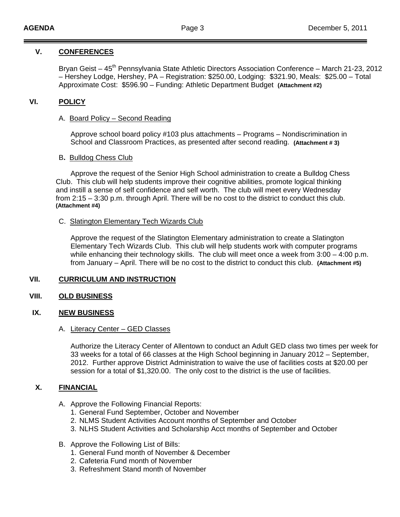## **V. CONFERENCES**

Bryan Geist – 45<sup>th</sup> Pennsylvania State Athletic Directors Association Conference – March 21-23, 2012 – Hershey Lodge, Hershey, PA – Registration: \$250.00, Lodging: \$321.90, Meals: \$25.00 – Total Approximate Cost: \$596.90 – Funding: Athletic Department Budget **(Attachment #2)**

## **VI. POLICY**

#### A.Board Policy – Second Reading

 Approve school board policy #103 plus attachments – Programs – Nondiscrimination in School and Classroom Practices, as presented after second reading. **(Attachment # 3)** 

#### B**.** Bulldog Chess Club

 Approve the request of the Senior High School administration to create a Bulldog Chess Club. This club will help students improve their cognitive abilities, promote logical thinking and instill a sense of self confidence and self worth. The club will meet every Wednesday from 2:15 – 3:30 p.m. through April. There will be no cost to the district to conduct this club. **(Attachment #4)** 

#### C. Slatington Elementary Tech Wizards Club

Approve the request of the Slatington Elementary administration to create a Slatington Elementary Tech Wizards Club. This club will help students work with computer programs while enhancing their technology skills. The club will meet once a week from 3:00 – 4:00 p.m. from January – April. There will be no cost to the district to conduct this club. **(Attachment #5)** 

## **VII. CURRICULUM AND INSTRUCTION**

## **VIII. OLD BUSINESS**

## **IX. NEW BUSINESS**

#### A. Literacy Center – GED Classes

 Authorize the Literacy Center of Allentown to conduct an Adult GED class two times per week for 33 weeks for a total of 66 classes at the High School beginning in January 2012 – September, 2012. Further approve District Administration to waive the use of facilities costs at \$20.00 per session for a total of \$1,320.00. The only cost to the district is the use of facilities.

## **X. FINANCIAL**

- A. Approve the Following Financial Reports:
	- 1. General Fund September, October and November
	- 2. NLMS Student Activities Account months of September and October
	- 3. NLHS Student Activities and Scholarship Acct months of September and October
- B. Approve the Following List of Bills:
	- 1. General Fund month of November & December
	- 2. Cafeteria Fund month of November
	- 3. Refreshment Stand month of November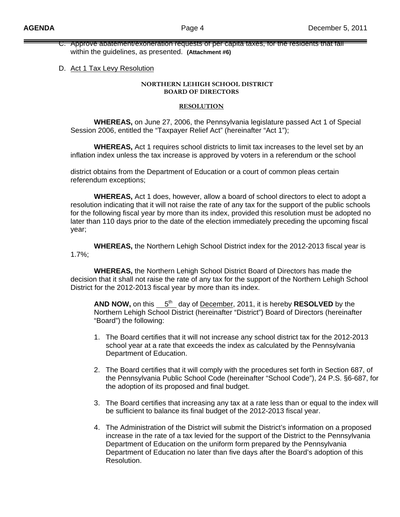C. Approve abatement/exoneration requests of per capita taxes, for the residents that fall within the guidelines, as presented. **(Attachment #6)**

#### D. Act 1 Tax Levy Resolution

#### **NORTHERN LEHIGH SCHOOL DISTRICT BOARD OF DIRECTORS**

#### **RESOLUTION**

 **WHEREAS,** on June 27, 2006, the Pennsylvania legislature passed Act 1 of Special Session 2006, entitled the "Taxpayer Relief Act" (hereinafter "Act 1");

 **WHEREAS,** Act 1 requires school districts to limit tax increases to the level set by an inflation index unless the tax increase is approved by voters in a referendum or the school

 district obtains from the Department of Education or a court of common pleas certain referendum exceptions;

 **WHEREAS,** Act 1 does, however, allow a board of school directors to elect to adopt a resolution indicating that it will not raise the rate of any tax for the support of the public schools for the following fiscal year by more than its index, provided this resolution must be adopted no later than 110 days prior to the date of the election immediately preceding the upcoming fiscal year;

 **WHEREAS,** the Northern Lehigh School District index for the 2012-2013 fiscal year is 1.7%;

 **WHEREAS,** the Northern Lehigh School District Board of Directors has made the decision that it shall not raise the rate of any tax for the support of the Northern Lehigh School District for the 2012-2013 fiscal year by more than its index.

**AND NOW,** on this  $5<sup>th</sup>$  day of December, 2011, it is hereby **RESOLVED** by the Northern Lehigh School District (hereinafter "District") Board of Directors (hereinafter "Board") the following:

- 1. The Board certifies that it will not increase any school district tax for the 2012-2013 school year at a rate that exceeds the index as calculated by the Pennsylvania Department of Education.
- 2. The Board certifies that it will comply with the procedures set forth in Section 687, of the Pennsylvania Public School Code (hereinafter "School Code"), 24 P.S. §6-687, for the adoption of its proposed and final budget.
- 3. The Board certifies that increasing any tax at a rate less than or equal to the index will be sufficient to balance its final budget of the 2012-2013 fiscal year.
- 4. The Administration of the District will submit the District's information on a proposed increase in the rate of a tax levied for the support of the District to the Pennsylvania Department of Education on the uniform form prepared by the Pennsylvania Department of Education no later than five days after the Board's adoption of this Resolution.